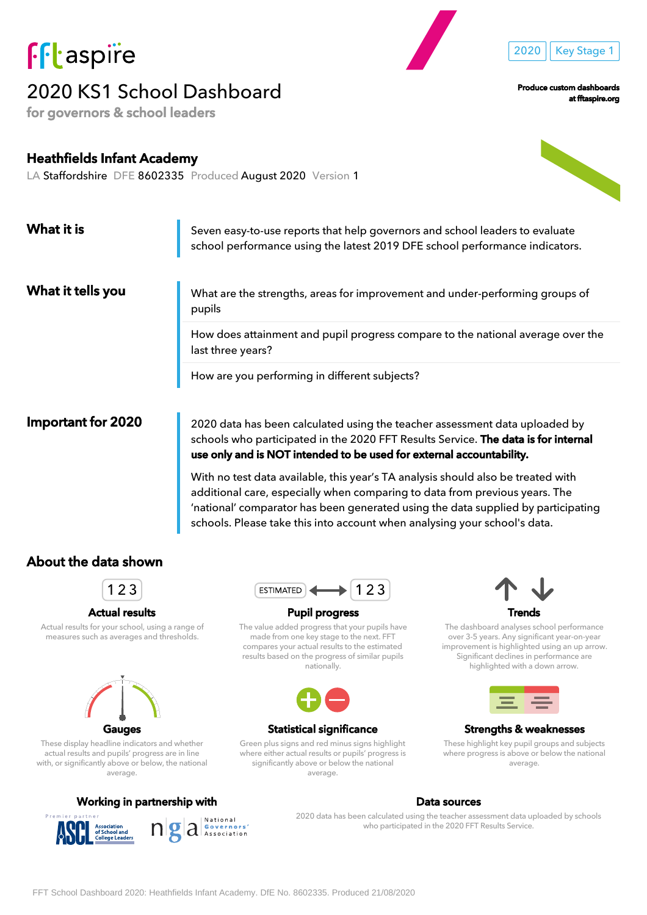

# 2020 KS1 School Dashboard

for governors & school leaders

Produce custom dashboards

2020 | Key Stage 1

at fftaspire.org

Heathfields Infant Academy LA Staffordshire DFE 8602335 Produced August 2020 Version 1

| What it is         | Seven easy-to-use reports that help governors and school leaders to evaluate<br>school performance using the latest 2019 DFE school performance indicators.                                                                               |
|--------------------|-------------------------------------------------------------------------------------------------------------------------------------------------------------------------------------------------------------------------------------------|
| What it tells you  | What are the strengths, areas for improvement and under-performing groups of<br>pupils                                                                                                                                                    |
|                    | How does attainment and pupil progress compare to the national average over the<br>last three years?                                                                                                                                      |
|                    | How are you performing in different subjects?                                                                                                                                                                                             |
| Important for 2020 | 2020 data has been calculated using the teacher assessment data uploaded by<br>schools who participated in the 2020 FFT Results Service. The data is for internal<br>use only and is NOT intended to be used for external accountability. |

With no test data available, this year's TA analysis should also be treated with additional care, especially when comparing to data from previous years. The 'national' comparator has been generated using the data supplied by participating schools. Please take this into account when analysing your school's data.

### About the data shown



#### Actual results

Actual results for your school, using a range of measures such as averages and thresholds.



These display headline indicators and whether actual results and pupils' progress are in line with, or significantly above or below, the national average.

#### Working in partnership with North States and Data sources





#### Pupil progress

The value added progress that your pupils have made from one key stage to the next. FFT compares your actual results to the estimated results based on the progress of similar pupils nationally.



#### Statistical significance

Green plus signs and red minus signs highlight where either actual results or pupils' progress is significantly above or below the national average.



The dashboard analyses school performance over 3-5 years. Any significant year-on-year improvement is highlighted using an up arrow. Significant declines in performance are highlighted with a down arrow.



#### Strengths & weaknesses

These highlight key pupil groups and subjects where progress is above or below the national average.

# $a$   $\sum_{\text{Asociation}}$

2020 data has been calculated using the teacher assessment data uploaded by schools who participated in the 2020 FFT Results Service.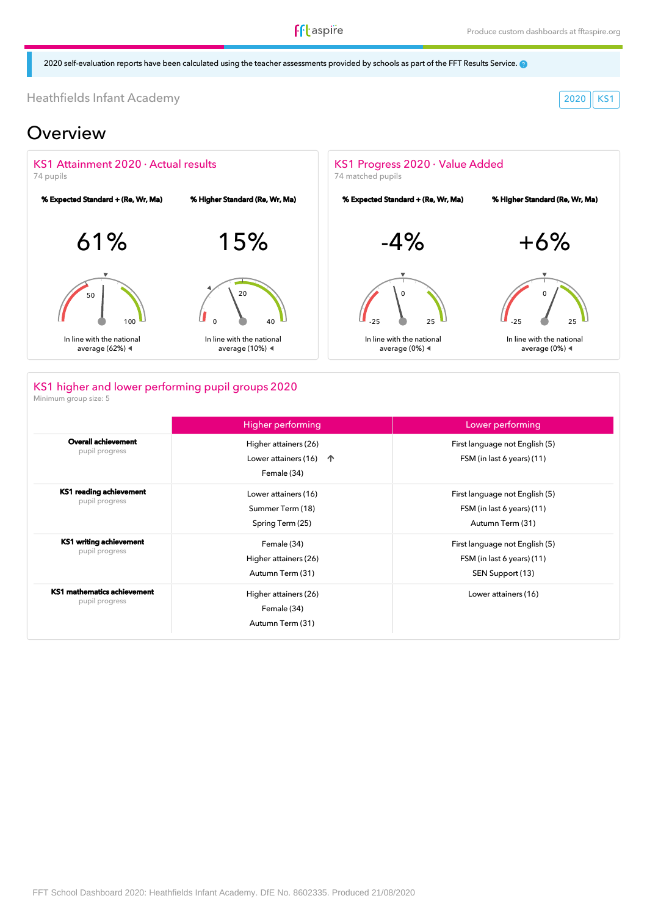**ff**taspire

2020 self-evaluation reports have been calculated using the teacher assessments provided by schools as part of the FFT Results Service.

Heathfields Infant Academy 2020 KS1

### Overview



### KS1 higher and lower performing pupil groups 2020

Minimum group size: 5

|                                               | Higher performing                                                          | Lower performing                                                                 |
|-----------------------------------------------|----------------------------------------------------------------------------|----------------------------------------------------------------------------------|
| <b>Overall achievement</b><br>pupil progress  | Higher attainers (26)<br>Lower attainers (16)<br>$\uparrow$<br>Female (34) | First language not English (5)<br>FSM (in last 6 years) (11)                     |
| KS1 reading achievement<br>pupil progress     | Lower attainers (16)<br>Summer Term (18)<br>Spring Term (25)               | First language not English (5)<br>FSM (in last 6 years) (11)<br>Autumn Term (31) |
| KS1 writing achievement<br>pupil progress     | Female (34)<br>Higher attainers (26)<br>Autumn Term (31)                   | First language not English (5)<br>FSM (in last 6 years) (11)<br>SEN Support (13) |
| KS1 mathematics achievement<br>pupil progress | Higher attainers (26)<br>Female (34)<br>Autumn Term (31)                   | Lower attainers (16)                                                             |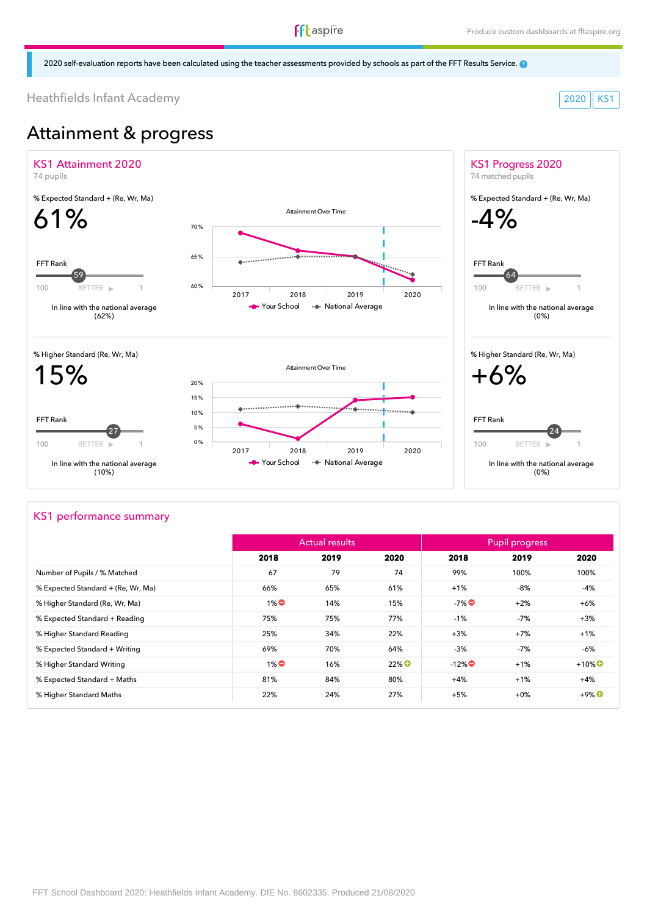### **f**ftaspire

2020 self-evaluation reports have been calculated using the teacher assessments provided by schools as part of the FFT Results Service.

Heathfields Infant Academy 2020 KS1

# Attainment & progress



#### KS1 performance summary

|                                    |       | <b>Actual results</b> |                     | Pupil progress |        |                      |
|------------------------------------|-------|-----------------------|---------------------|----------------|--------|----------------------|
|                                    | 2018  | 2019                  | 2020                | 2018           | 2019   | 2020                 |
| Number of Pupils / % Matched       | 67    | 79                    | 74                  | 99%            | 100%   | 100%                 |
| % Expected Standard + (Re, Wr, Ma) | 66%   | 65%                   | 61%                 | $+1%$          | -8%    | -4%                  |
| % Higher Standard (Re, Wr, Ma)     | $1\%$ | 14%                   | 15%                 | $-7\%$         | $+2%$  | $+6%$                |
| % Expected Standard + Reading      | 75%   | 75%                   | 77%                 | $-1%$          | -7%    | $+3%$                |
| % Higher Standard Reading          | 25%   | 34%                   | 22%                 | $+3%$          | $+7%$  | $+1%$                |
| % Expected Standard + Writing      | 69%   | 70%                   | 64%                 | $-3%$          | -7%    | -6%                  |
| % Higher Standard Writing          | $1\%$ | 16%                   | $22\%$ <sup>O</sup> | $-12\%$        | $+1%$  | $+10\%$ <sup>O</sup> |
| % Expected Standard + Maths        | 81%   | 84%                   | 80%                 | $+4%$          | $+1%$  | $+4%$                |
| % Higher Standard Maths            | 22%   | 24%                   | 27%                 | $+5%$          | $+0\%$ | $+9\%$ <sup>O</sup>  |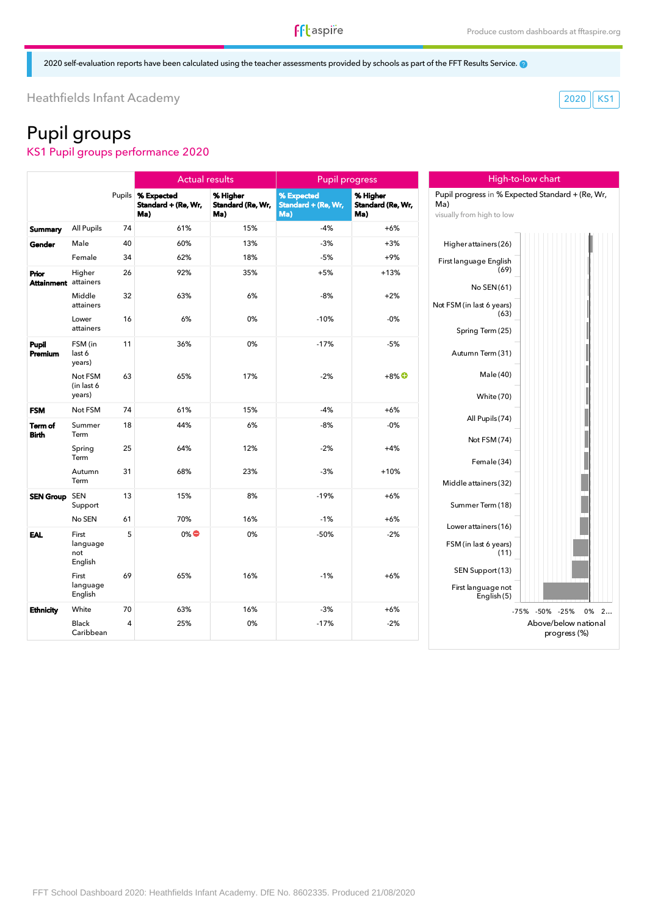High-to-low chart

2020 self-evaluation reports have been calculated using the teacher assessments provided by schools as part of the FFT Results Service.

Heathfields Infant Academy 2020 KS1

# Pupil groups

KS1 Pupil groups performance 2020

|                                      |                                     |        | <b>Actual results</b>                    |                                      | <b>Pupil progress</b>                    |                                      |                                  |
|--------------------------------------|-------------------------------------|--------|------------------------------------------|--------------------------------------|------------------------------------------|--------------------------------------|----------------------------------|
|                                      |                                     | Pupils | % Expected<br>Standard + (Re, Wr,<br>Ma) | % Higher<br>Standard (Re, Wr,<br>Ma) | % Expected<br>Standard + (Re, Wr,<br>Ma) | % Higher<br>Standard (Re, Wr,<br>Ma) | Pupil pro<br>Ma)<br>visually fro |
| <b>Summary</b>                       | All Pupils                          | 74     | 61%                                      | 15%                                  | $-4%$                                    | $+6%$                                |                                  |
| Gender                               | Male                                | 40     | 60%                                      | 13%                                  | $-3%$                                    | $+3%$                                | Higher                           |
|                                      | Female                              | 34     | 62%                                      | 18%                                  | $-5%$                                    | $+9%$                                | First lang                       |
| Prior<br><b>Attainment</b> attainers | Higher                              | 26     | 92%                                      | 35%                                  | $+5%$                                    | $+13%$                               |                                  |
|                                      | Middle<br>attainers                 | 32     | 63%                                      | 6%                                   | $-8%$                                    | $+2%$                                | Not FSM (i                       |
|                                      | Lower<br>attainers                  | 16     | 6%                                       | 0%                                   | $-10%$                                   | $-0%$                                | Spr                              |
| Pupil<br>Premium                     | FSM (in<br>last 6<br>years)         | 11     | 36%                                      | 0%                                   | $-17%$                                   | $-5%$                                | Autu                             |
|                                      | Not FSM<br>(in last 6<br>years)     | 63     | 65%                                      | 17%                                  | $-2%$                                    | $+8\%$ <sup>O</sup>                  |                                  |
| <b>FSM</b>                           | Not FSM                             | 74     | 61%                                      | 15%                                  | $-4%$                                    | $+6%$                                |                                  |
| Term of<br><b>Birth</b>              | Summer<br>Term                      | 18     | 44%                                      | 6%                                   | -8%                                      | $-0%$                                |                                  |
|                                      | Spring<br>Term                      | 25     | 64%                                      | 12%                                  | $-2%$                                    | $+4%$                                |                                  |
|                                      | Autumn<br>Term                      | 31     | 68%                                      | 23%                                  | $-3%$                                    | $+10%$                               | Middle                           |
| <b>SEN Group</b>                     | <b>SEN</b><br>Support               | 13     | 15%                                      | 8%                                   | $-19%$                                   | $+6%$                                | Sumr                             |
|                                      | No SEN                              | 61     | 70%                                      | 16%                                  | $-1%$                                    | $+6%$                                | Lower                            |
| <b>EAL</b>                           | First<br>language<br>not<br>English | 5      | $0\%$                                    | 0%                                   | $-50%$                                   | $-2%$                                | FSM(i                            |
|                                      | First<br>language<br>English        | 69     | 65%                                      | 16%                                  | $-1%$                                    | $+6%$                                | <b>SEN</b><br>First              |
| <b>Ethnicity</b>                     | White                               | 70     | 63%                                      | 16%                                  | $-3%$                                    | $+6%$                                |                                  |
|                                      | <b>Black</b><br>Caribbean           | 4      | 25%                                      | 0%                                   | $-17%$                                   | $-2%$                                |                                  |



| Ma)                               | Pupil progress in % Expected Standard + (Re, Wr, |
|-----------------------------------|--------------------------------------------------|
| visually from high to low         |                                                  |
| Higher attainers (26)             |                                                  |
| First language English<br>(69)    |                                                  |
| No SEN(61)                        |                                                  |
| Not FSM (in last 6 years)<br>(63) |                                                  |
| Spring Term (25)                  |                                                  |
| Autumn Term (31)                  |                                                  |
| Male (40)                         |                                                  |
| <b>White (70)</b>                 |                                                  |
| All Pupils (74)                   |                                                  |
| Not FSM (74)                      |                                                  |
| Female (34)                       |                                                  |
| Middle attainers(32)              |                                                  |
| Summer Term (18)                  |                                                  |
| Lower attainers (16)              |                                                  |
| FSM (in last 6 years)<br>(11)     |                                                  |
| SEN Support (13)                  |                                                  |
| First language not<br>English (5) |                                                  |
|                                   | $-50%$<br>0%<br>$-75%$<br>$-25%$<br>2            |
|                                   | Above/below national<br>progress (%)             |
|                                   |                                                  |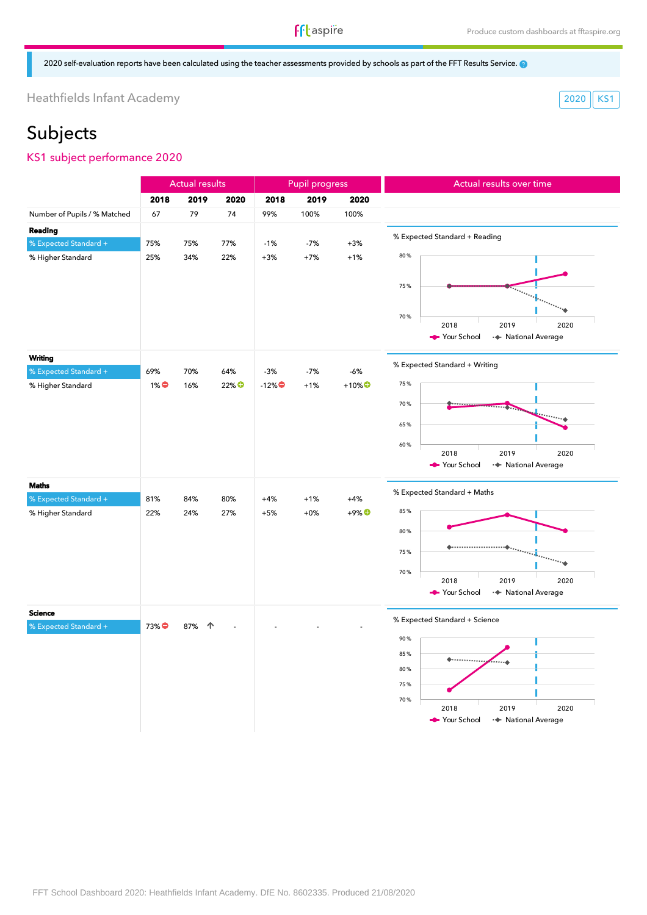### **f**ftaspire

2020 self-evaluation reports have been calculated using the teacher assessments provided by schools as part of the FFT Results Service.

Heathfields Infant Academy 2020 KS1

## Subjects

#### KS1 subject performance 2020

|                              |       | <b>Actual results</b> |                  | <b>Pupil progress</b> |       |                                      | Actual results over time      |                                     |  |
|------------------------------|-------|-----------------------|------------------|-----------------------|-------|--------------------------------------|-------------------------------|-------------------------------------|--|
|                              | 2018  | 2019                  | 2020             | 2018                  | 2019  | 2020                                 |                               |                                     |  |
| Number of Pupils / % Matched | 67    | 79                    | 74               | 99%                   | 100%  | 100%                                 |                               |                                     |  |
| Reading                      |       |                       |                  |                       |       |                                      |                               |                                     |  |
| % Expected Standard +        | 75%   | 75%                   | 77%              | $-1%$                 | $-7%$ | $+3%$                                | % Expected Standard + Reading |                                     |  |
| % Higher Standard            | 25%   | 34%                   | 22%              | $+3%$                 | $+7%$ | $+1%$                                | 80%                           |                                     |  |
|                              |       |                       |                  |                       |       |                                      |                               |                                     |  |
|                              |       |                       |                  |                       |       |                                      | 75%                           |                                     |  |
|                              |       |                       |                  |                       |       |                                      |                               |                                     |  |
|                              |       |                       |                  |                       |       |                                      | 70%                           |                                     |  |
|                              |       |                       |                  |                       |       |                                      | 2018                          | 2019<br>2020                        |  |
|                              |       |                       |                  |                       |       |                                      | Your School                   | · National Average                  |  |
| Writing                      |       |                       |                  |                       |       |                                      |                               |                                     |  |
| % Expected Standard +        | 69%   | 70%                   | 64%              | $-3%$                 | $-7%$ | $-6%$                                | % Expected Standard + Writing |                                     |  |
| % Higher Standard            | $1\%$ | 16%                   | 22% <sup>O</sup> | $-12\%$               | $+1%$ | $+10\%$ <sup>O</sup>                 | 75%                           |                                     |  |
|                              |       |                       |                  |                       |       |                                      | 70%                           |                                     |  |
|                              |       |                       |                  |                       |       |                                      |                               |                                     |  |
|                              |       |                       |                  |                       |       |                                      | 65%                           |                                     |  |
|                              |       |                       |                  |                       |       |                                      | 60%                           |                                     |  |
|                              |       |                       |                  |                       |       |                                      | 2018<br>Your School           | 2019<br>2020<br>·◆ National Average |  |
|                              |       |                       |                  |                       |       |                                      |                               |                                     |  |
| <b>Maths</b>                 |       |                       |                  |                       |       |                                      | % Expected Standard + Maths   |                                     |  |
| % Expected Standard +        | 81%   | 84%                   | 80%              | $+4%$                 | $+1%$ | $+4%$                                |                               |                                     |  |
| % Higher Standard            | 22%   | 24%                   | 27%              | $+5%$                 | $+0%$ | $+9\%$ <sup><math>\odot</math></sup> | 85%                           |                                     |  |
|                              |       |                       |                  |                       |       |                                      | 80%                           |                                     |  |
|                              |       |                       |                  |                       |       |                                      | 75%                           |                                     |  |
|                              |       |                       |                  |                       |       |                                      |                               |                                     |  |
|                              |       |                       |                  |                       |       |                                      | 70%<br>2018                   | 2019<br>2020                        |  |
|                              |       |                       |                  |                       |       |                                      | Your School                   | ·◆ National Average                 |  |
|                              |       |                       |                  |                       |       |                                      |                               |                                     |  |
| <b>Science</b>               |       |                       |                  |                       |       |                                      | % Expected Standard + Science |                                     |  |
| % Expected Standard +        | 73%●  | 87%<br>个              |                  |                       |       |                                      | 90%                           |                                     |  |
|                              |       |                       |                  |                       |       |                                      | 85%                           |                                     |  |
|                              |       |                       |                  |                       |       |                                      | $*$                           |                                     |  |
|                              |       |                       |                  |                       |       |                                      | 80%                           |                                     |  |
|                              |       |                       |                  |                       |       |                                      | 75%                           |                                     |  |
|                              |       |                       |                  |                       |       |                                      | 70%<br>2018                   | 2019<br>2020                        |  |
|                              |       |                       |                  |                       |       |                                      | Your School                   | + National Average                  |  |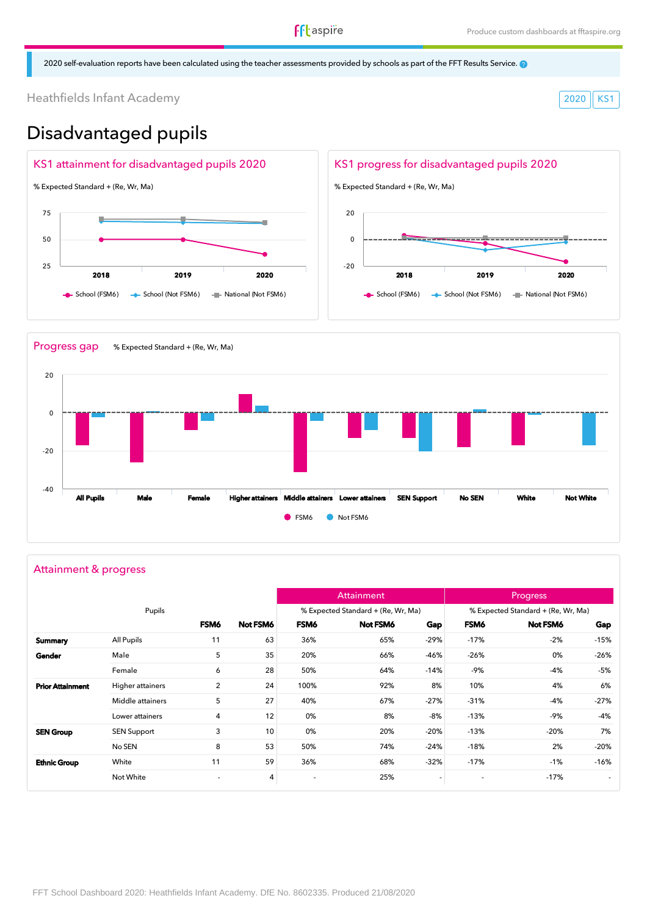2020 self-evaluation reports have been calculated using the teacher assessments provided by schools as part of the FFT Results Service.

Heathfields Infant Academy 2020 KS1

### Disadvantaged pupils





#### Attainment & progress

|                         |                    |                          |          |                          | Attainment                         |                          |                          | <b>Progress</b>                    |        |
|-------------------------|--------------------|--------------------------|----------|--------------------------|------------------------------------|--------------------------|--------------------------|------------------------------------|--------|
|                         | Pupils             |                          |          |                          | % Expected Standard + (Re, Wr, Ma) |                          |                          | % Expected Standard + (Re, Wr, Ma) |        |
|                         |                    | FSM6                     | Not FSM6 | FSM6                     | Not FSM6                           | Gap                      | FSM6                     | Not FSM6                           | Gap    |
| Summary                 | All Pupils         | 11                       | 63       | 36%                      | 65%                                | $-29%$                   | $-17%$                   | $-2%$                              | $-15%$ |
| Gender                  | Male               | 5                        | 35       | 20%                      | 66%                                | -46%                     | $-26%$                   | 0%                                 | $-26%$ |
|                         | Female             | 6                        | 28       | 50%                      | 64%                                | $-14%$                   | -9%                      | $-4%$                              | -5%    |
| <b>Prior Attainment</b> | Higher attainers   | $\overline{2}$           | 24       | 100%                     | 92%                                | 8%                       | 10%                      | 4%                                 | 6%     |
|                         | Middle attainers   | 5                        | 27       | 40%                      | 67%                                | $-27%$                   | $-31%$                   | -4%                                | $-27%$ |
|                         | Lower attainers    | 4                        | 12       | 0%                       | 8%                                 | -8%                      | $-13%$                   | -9%                                | -4%    |
| <b>SEN Group</b>        | <b>SEN Support</b> | 3                        | 10       | 0%                       | 20%                                | $-20%$                   | $-13%$                   | $-20%$                             | 7%     |
|                         | No SEN             | 8                        | 53       | 50%                      | 74%                                | $-24%$                   | $-18%$                   | 2%                                 | $-20%$ |
| <b>Ethnic Group</b>     | White              | 11                       | 59       | 36%                      | 68%                                | $-32%$                   | $-17%$                   | $-1%$                              | $-16%$ |
|                         | Not White          | $\overline{\phantom{a}}$ | 4        | $\overline{\phantom{a}}$ | 25%                                | $\overline{\phantom{a}}$ | $\overline{\phantom{a}}$ | $-17%$                             | $\sim$ |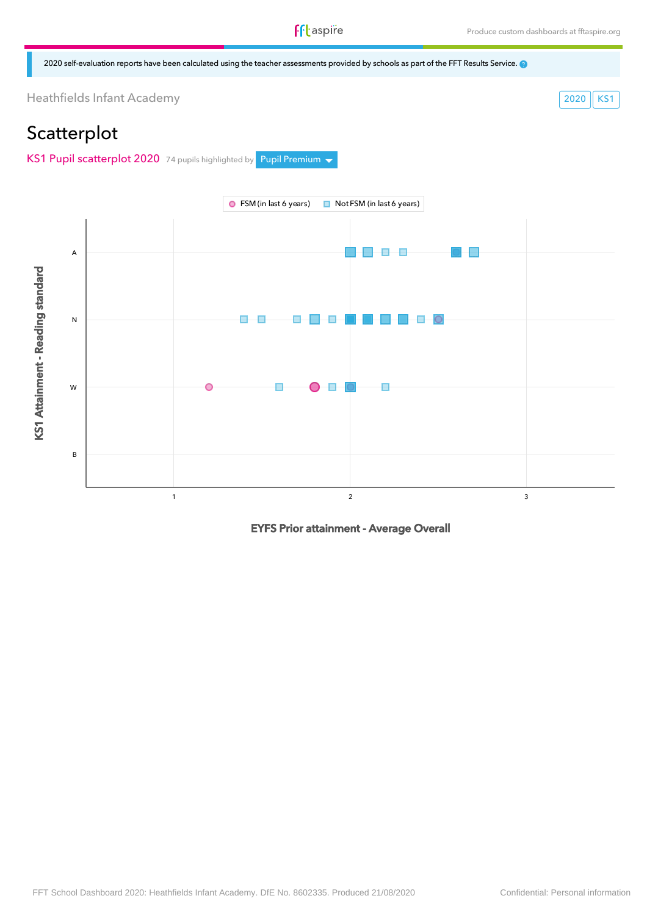2020 self-evaluation reports have been calculated using the teacher assessments provided by schools as part of the FFT Results Service.

Heathfields Infant Academy 2020 KS1

### **Scatterplot**

KS1 Pupil scatterplot 2020 74 pupils highlighted by Pupil Premium  $\sim$ 



EYFS Prior attainment - Average Overall